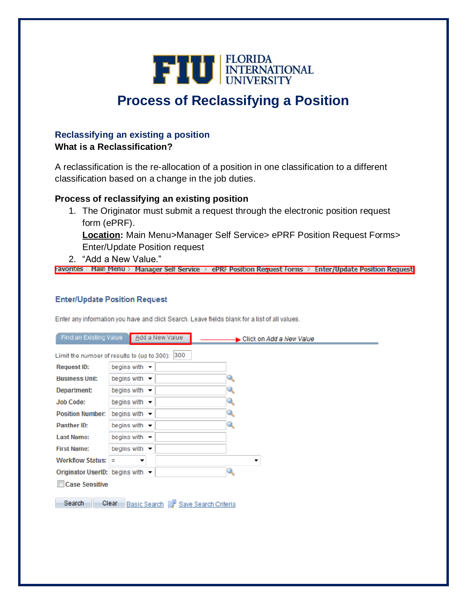

# **Process of Reclassifying a Position**

### **Reclassifying an existing a position**

### **What is a Reclassification?**

A reclassification is the re-allocation of a position in one classification to a different classification based on a change in the job duties.

### **Process of reclassifying an existing position**

1. The Originator must submit a request through the electronic position request form (ePRF).

**Location:** Main Menu>Manager Self Service> ePRF Position Request Forms> Enter/Update Position request

2. "Add a New Value."

|  | -avorites : Main Menu > Manager Self Service > ePRF Position Request Forms > Enter/Update Position Request |  |
|--|------------------------------------------------------------------------------------------------------------|--|
|  |                                                                                                            |  |

#### **Enter/Update Position Request**

Enter any information you have and click Search. Leave fields blank for a list of all values.

| Find an Existing Value                                            |                                  | Add a New Value | Click on Add a New Value |
|-------------------------------------------------------------------|----------------------------------|-----------------|--------------------------|
| Limit the number of results to (up to 300): 300                   |                                  |                 |                          |
| <b>Request ID:</b>                                                | begins with $-$                  |                 |                          |
| <b>Business Unit:</b>                                             | begins with $\blacktriangledown$ |                 |                          |
| Department:                                                       | begins with                      |                 | Q                        |
| <b>Job Code:</b>                                                  | begins with                      |                 |                          |
| <b>Position Number:</b>                                           | begins with $\sim$               |                 |                          |
| Panther ID:                                                       | begins with $\sim$               |                 | Q                        |
| <b>Last Name:</b>                                                 | begins with $-$                  |                 |                          |
| <b>First Name:</b>                                                | begins with                      |                 |                          |
| <b>Workflow Status:</b>                                           | Ξ<br>▼                           |                 | ۰                        |
| Originator UserID: begins with -                                  |                                  |                 | Q                        |
| <b>Case Sensitive</b>                                             |                                  |                 |                          |
| Search<br>Clear<br>Basic Search <b>&amp; Save Search Criteria</b> |                                  |                 |                          |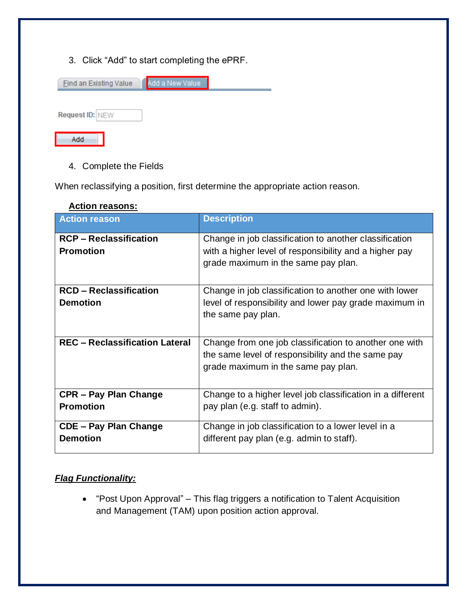3. Click "Add" to start completing the ePRF.

| <b>Find an Existing Value</b> | Add a New Value |  |
|-------------------------------|-----------------|--|
|                               |                 |  |
| <b>Request ID: NEW</b>        |                 |  |
| Add                           |                 |  |

4. Complete the Fields

When reclassifying a position, first determine the appropriate action reason.

| AVUVILI VUJVIIJ.                      |                                                                                                                                                    |
|---------------------------------------|----------------------------------------------------------------------------------------------------------------------------------------------------|
| <b>Action reason</b>                  | <b>Description</b>                                                                                                                                 |
| <b>RCP-Reclassification</b>           | Change in job classification to another classification                                                                                             |
| <b>Promotion</b>                      | with a higher level of responsibility and a higher pay<br>grade maximum in the same pay plan.                                                      |
| <b>RCD-Reclassification</b>           | Change in job classification to another one with lower                                                                                             |
| <b>Demotion</b>                       | level of responsibility and lower pay grade maximum in<br>the same pay plan.                                                                       |
| <b>REC - Reclassification Lateral</b> | Change from one job classification to another one with<br>the same level of responsibility and the same pay<br>grade maximum in the same pay plan. |
| <b>CPR - Pay Plan Change</b>          | Change to a higher level job classification in a different                                                                                         |
| <b>Promotion</b>                      | pay plan (e.g. staff to admin).                                                                                                                    |
| <b>CDE - Pay Plan Change</b>          | Change in job classification to a lower level in a                                                                                                 |
| <b>Demotion</b>                       | different pay plan (e.g. admin to staff).                                                                                                          |

### **Action reasons:**

### *Flag Functionality:*

 "Post Upon Approval" – This flag triggers a notification to Talent Acquisition and Management (TAM) upon position action approval.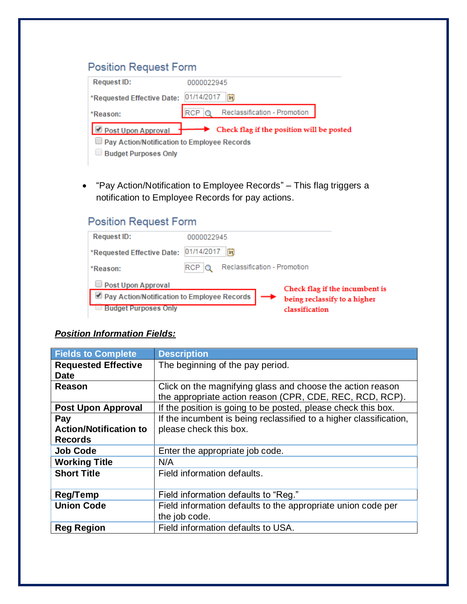## **Position Request Form**

| <b>Request ID:</b>                          | 0000022945                                                      |  |
|---------------------------------------------|-----------------------------------------------------------------|--|
| *Requested Effective Date: 01/14/2017       | Γi                                                              |  |
| *Reason:                                    | $\overline{\text{RCP}}$ Q Reclassification - Promotion          |  |
|                                             | Post Upon Approval<br>Check flag if the position will be posted |  |
| Pay Action/Notification to Employee Records |                                                                 |  |
| <b>Budget Purposes Only</b>                 |                                                                 |  |

 "Pay Action/Notification to Employee Records" – This flag triggers a notification to Employee Records for pay actions.

## **Position Request Form**

| <b>Request ID:</b>                          | 0000022945                                |                                |
|---------------------------------------------|-------------------------------------------|--------------------------------|
| *Requested Effective Date:                  | 01/14/2017<br>Fil                         |                                |
| *Reason:                                    | Reclassification - Promotion<br>$RCP$ $Q$ |                                |
| Post Upon Approval                          |                                           | Check flag if the incumbent is |
| Pay Action/Notification to Employee Records |                                           | being reclassify to a higher   |
| <b>Budget Purposes Only</b>                 |                                           | classification                 |

### *Position Information Fields:*

| <b>Fields to Complete</b>     | <b>Description</b>                                                 |
|-------------------------------|--------------------------------------------------------------------|
| <b>Requested Effective</b>    | The beginning of the pay period.                                   |
| <b>Date</b>                   |                                                                    |
| Reason                        | Click on the magnifying glass and choose the action reason         |
|                               | the appropriate action reason (CPR, CDE, REC, RCD, RCP).           |
| <b>Post Upon Approval</b>     | If the position is going to be posted, please check this box.      |
| Pay                           | If the incumbent is being reclassified to a higher classification, |
| <b>Action/Notification to</b> | please check this box.                                             |
| <b>Records</b>                |                                                                    |
| <b>Job Code</b>               | Enter the appropriate job code.                                    |
| <b>Working Title</b>          | N/A                                                                |
| <b>Short Title</b>            | Field information defaults.                                        |
|                               |                                                                    |
| <b>Reg/Temp</b>               | Field information defaults to "Reg."                               |
| <b>Union Code</b>             | Field information defaults to the appropriate union code per       |
|                               | the job code.                                                      |
| <b>Reg Region</b>             | Field information defaults to USA.                                 |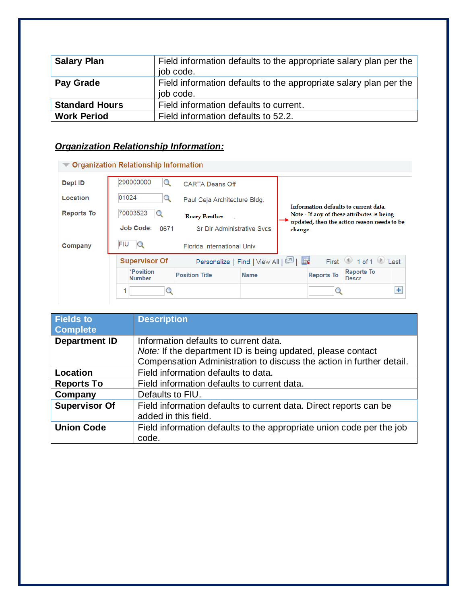| <b>Salary Plan</b>    | Field information defaults to the appropriate salary plan per the<br>job code. |
|-----------------------|--------------------------------------------------------------------------------|
| <b>Pay Grade</b>      | Field information defaults to the appropriate salary plan per the<br>job code. |
| <b>Standard Hours</b> | Field information defaults to current.                                         |
| <b>Work Period</b>    | Field information defaults to 52.2.                                            |

## *Organization Relationship Information:*

| Dept ID           | 290000000                  | <b>CARTA Deans Off</b>            |                                         |                                                                                     |                                   |  |
|-------------------|----------------------------|-----------------------------------|-----------------------------------------|-------------------------------------------------------------------------------------|-----------------------------------|--|
| Location          | 01024<br>Q                 | Paul Ceja Architecture Bldg.      |                                         |                                                                                     |                                   |  |
| <b>Reports To</b> | 70003523                   | <b>Roary Panther</b>              |                                         | Information defaults to current data.<br>Note - If any of these attributes is being |                                   |  |
|                   | <b>Job Code:</b><br>0671   | <b>Sr Dir Administrative Svcs</b> |                                         | updated, then the action reason needs to be<br>change.                              |                                   |  |
| Company           | FIU                        | <b>Florida International Univ</b> |                                         |                                                                                     |                                   |  |
|                   | <b>Supervisor Of</b>       |                                   | Personalize   Find   View All   스키   표정 |                                                                                     | First 1 of 1 Last                 |  |
|                   |                            |                                   |                                         |                                                                                     |                                   |  |
|                   | *Position<br><b>Number</b> | <b>Position Title</b>             | <b>Name</b>                             | <b>Reports To</b>                                                                   | <b>Reports To</b><br><b>Descr</b> |  |

| <b>Fields to</b><br><b>Complete</b> | <b>Description</b>                                                                                                                                                           |
|-------------------------------------|------------------------------------------------------------------------------------------------------------------------------------------------------------------------------|
| <b>Department ID</b>                | Information defaults to current data.<br>Note: If the department ID is being updated, please contact<br>Compensation Administration to discuss the action in further detail. |
| Location                            | Field information defaults to data.                                                                                                                                          |
| <b>Reports To</b>                   | Field information defaults to current data.                                                                                                                                  |
| Company                             | Defaults to FIU.                                                                                                                                                             |
| <b>Supervisor Of</b>                | Field information defaults to current data. Direct reports can be<br>added in this field.                                                                                    |
| <b>Union Code</b>                   | Field information defaults to the appropriate union code per the job<br>code.                                                                                                |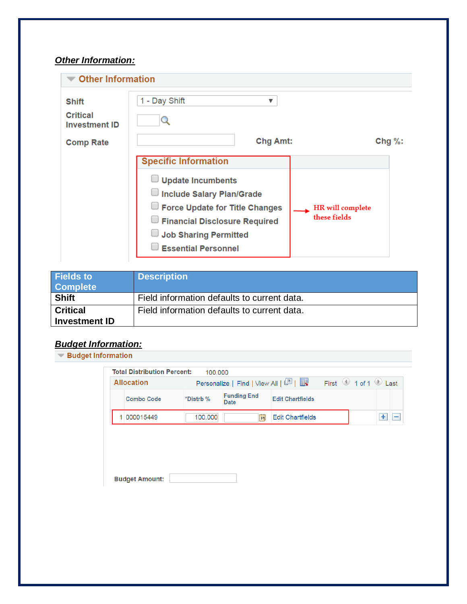### *Other Information:*

| <b>Other Information</b>                                                    |                                                                                                                                                                                                                              |                                  |
|-----------------------------------------------------------------------------|------------------------------------------------------------------------------------------------------------------------------------------------------------------------------------------------------------------------------|----------------------------------|
| <b>Shift</b><br><b>Critical</b><br><b>Investment ID</b><br><b>Comp Rate</b> | 1 - Day Shift<br>▼<br>Chg Amt:                                                                                                                                                                                               | Chg $\%$ :                       |
|                                                                             | <b>Specific Information</b><br>$\Box$ Update Incumbents<br>Include Salary Plan/Grade<br>$\Box$ Force Update for Title Changes<br>Financial Disclosure Required<br><b>Job Sharing Permitted</b><br><b>Essential Personnel</b> | HR will complete<br>these fields |

| <b>Fields to</b><br><b>Complete</b>     | <b>Description</b>                          |
|-----------------------------------------|---------------------------------------------|
| <b>Shift</b>                            | Field information defaults to current data. |
| <b>Critical</b><br><b>Investment ID</b> | Field information defaults to current data. |

## *Budget Information:*

| <b>▼ Budget Information</b> |
|-----------------------------|
|                             |

| <b>Total Distribution Percent:</b><br><b>Allocation</b> | 100,000   | Personalize   Find   View All   2 |                         | First 1 of 1 D Last |        |
|---------------------------------------------------------|-----------|-----------------------------------|-------------------------|---------------------|--------|
| <b>Combo Code</b>                                       | *Distrb % | <b>Funding End</b><br>Date        | <b>Edit Chartfields</b> |                     |        |
| 1 000015449                                             | 100,000   | $\overline{\mathbf{B}}$           | <b>Edit Chartfields</b> |                     | ÷<br>- |
|                                                         |           |                                   |                         |                     |        |
|                                                         |           |                                   |                         |                     |        |
|                                                         |           |                                   |                         |                     |        |
|                                                         |           |                                   |                         |                     |        |
|                                                         |           |                                   |                         |                     |        |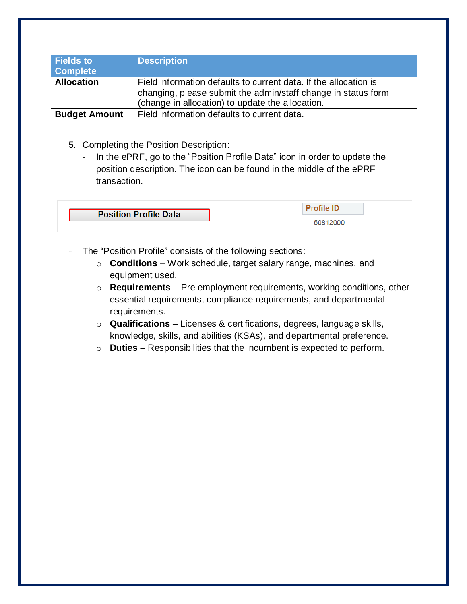| <b>Fields to</b><br><b>Complete</b> | <b>Description</b>                                                                                                                                                                    |
|-------------------------------------|---------------------------------------------------------------------------------------------------------------------------------------------------------------------------------------|
| <b>Allocation</b>                   | Field information defaults to current data. If the allocation is<br>changing, please submit the admin/staff change in status form<br>(change in allocation) to update the allocation. |
| <b>Budget Amount</b>                | Field information defaults to current data.                                                                                                                                           |

- 5. Completing the Position Description:
	- In the ePRF, go to the "Position Profile Data" icon in order to update the position description. The icon can be found in the middle of the ePRF transaction.

| <b>Position Profile Data</b> |  |
|------------------------------|--|
|                              |  |
|                              |  |

- The "Position Profile" consists of the following sections:
	- o **Conditions** Work schedule, target salary range, machines, and equipment used.
	- o **Requirements** Pre employment requirements, working conditions, other essential requirements, compliance requirements, and departmental requirements.
	- o **Qualifications** Licenses & certifications, degrees, language skills, knowledge, skills, and abilities (KSAs), and departmental preference.
	- o **Duties** Responsibilities that the incumbent is expected to perform.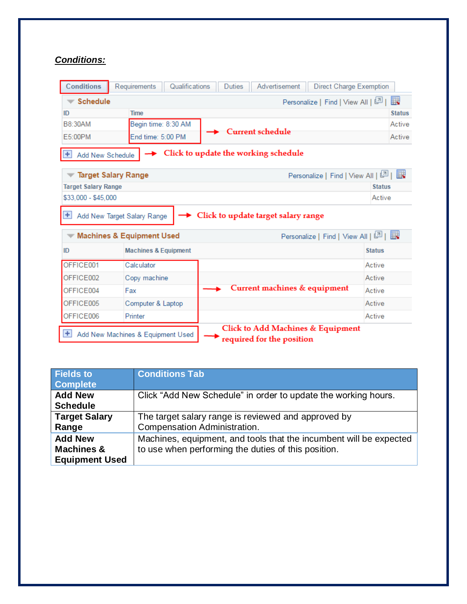### *Conditions:*

| <b>Conditions</b>                                                                                                         | Requirements                                                        | Qualifications<br>Advertisement<br>Direct Charge Exemption<br><b>Duties</b> |               |
|---------------------------------------------------------------------------------------------------------------------------|---------------------------------------------------------------------|-----------------------------------------------------------------------------|---------------|
| <b>Schedule</b>                                                                                                           |                                                                     | Personalize   Find   View All   트리                                          | E.            |
| ID                                                                                                                        | <b>Time</b>                                                         |                                                                             | <b>Status</b> |
| <b>B8:30AM</b>                                                                                                            | Begin time: 8:30 AM                                                 |                                                                             | Active        |
| E5:00PM                                                                                                                   | End time: 5:00 PM                                                   | <b>Current schedule</b>                                                     | Active        |
| $+$<br>Add New Schedule                                                                                                   |                                                                     | > Click to update the working schedule                                      |               |
|                                                                                                                           | <b>Target Salary Range</b>                                          | Personalize   Find   View All   스키   프로                                     |               |
| <b>Target Salary Range</b>                                                                                                |                                                                     |                                                                             | <b>Status</b> |
| \$33,000 - \$45,000                                                                                                       |                                                                     |                                                                             | Active        |
| $\pm$                                                                                                                     | Add New Target Salary Range<br><b>Machines &amp; Equipment Used</b> | Click to update target salary range<br>Personalize   Find   View All   4    |               |
|                                                                                                                           |                                                                     |                                                                             |               |
| ID                                                                                                                        | <b>Machines &amp; Equipment</b>                                     |                                                                             | <b>Status</b> |
| OFFICE001                                                                                                                 | Calculator                                                          |                                                                             | Active        |
| OFFICE002                                                                                                                 | Copy machine                                                        |                                                                             | Active        |
| OFFICE004                                                                                                                 | Fax                                                                 | Current machines & equipment                                                | Active        |
| OFFICE005                                                                                                                 | Computer & Laptop                                                   |                                                                             | Active        |
| OFFICE006                                                                                                                 | Printer                                                             |                                                                             | Active        |
| Click to Add Machines & Equipment<br>$\left  + \right $<br>Add New Machines & Equipment Used<br>required for the position |                                                                     |                                                                             |               |

| <b>Fields to</b><br><b>Complete</b>                              | <b>Conditions Tab</b>                                                                                                     |
|------------------------------------------------------------------|---------------------------------------------------------------------------------------------------------------------------|
| <b>Add New</b><br><b>Schedule</b>                                | Click "Add New Schedule" in order to update the working hours.                                                            |
| <b>Target Salary</b><br>Range                                    | The target salary range is reviewed and approved by<br>Compensation Administration.                                       |
| <b>Add New</b><br><b>Machines &amp;</b><br><b>Equipment Used</b> | Machines, equipment, and tools that the incumbent will be expected<br>to use when performing the duties of this position. |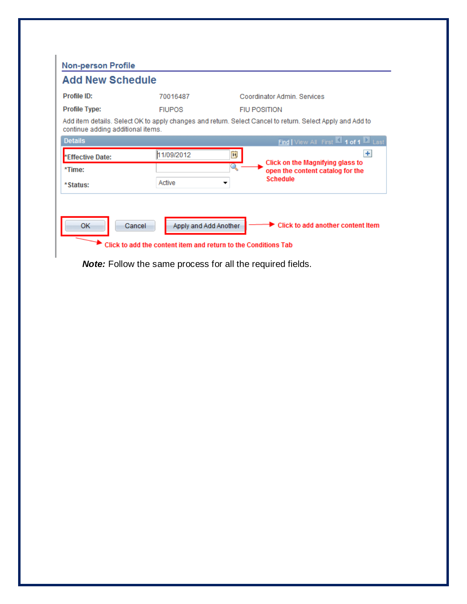| <b>Non-person Profile</b>         |                                                                                                   |                                                                                                           |
|-----------------------------------|---------------------------------------------------------------------------------------------------|-----------------------------------------------------------------------------------------------------------|
| <b>Add New Schedule</b>           |                                                                                                   |                                                                                                           |
| Profile ID:                       | 70016487                                                                                          | Coordinator Admin, Services                                                                               |
| <b>Profile Type:</b>              | <b>FIUPOS</b>                                                                                     | <b>FIU POSITION</b>                                                                                       |
| continue adding additional items. |                                                                                                   | Add item details. Select OK to apply changes and return. Select Cancel to return. Select Apply and Add to |
| <b>Details</b>                    |                                                                                                   | Find   View All First 1 of 1 1 Last                                                                       |
| *Effective Date:                  | 11/09/2012                                                                                        | $\pm$<br>ÞJ                                                                                               |
| *Time:                            |                                                                                                   | Click on the Magnifying glass to<br>Q<br>open the content catalog for the                                 |
| *Status:                          | Active                                                                                            | <b>Schedule</b>                                                                                           |
|                                   |                                                                                                   |                                                                                                           |
| <b>OK</b>                         | Apply and Add Another<br>Cancel<br>Click to add the content item and return to the Conditions Tab | Click to add another content Item                                                                         |

*Note:* Follow the same process for all the required fields.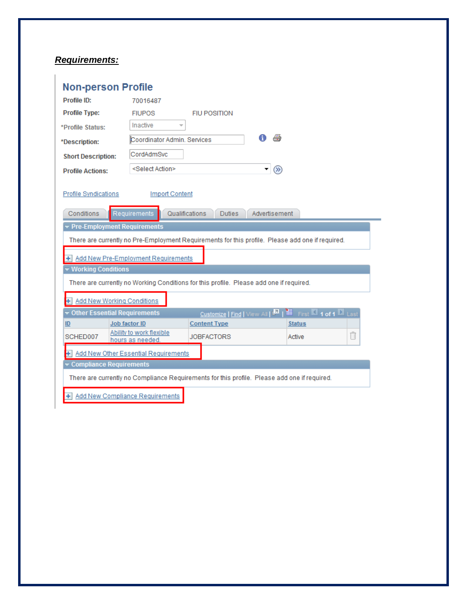### *Requirements:*

| <b>Non-person Profile</b>                 |                                              |                                                                                                  |                                                          |
|-------------------------------------------|----------------------------------------------|--------------------------------------------------------------------------------------------------|----------------------------------------------------------|
| Profile ID:                               | 70016487                                     |                                                                                                  |                                                          |
| <b>Profile Type:</b>                      | <b>FIUPOS</b>                                | <b>FIU POSITION</b>                                                                              |                                                          |
| *Profile Status:                          | Inactive<br>$\overline{\nabla}$              |                                                                                                  |                                                          |
| *Description:                             | Coordinator Admin, Services                  | A                                                                                                |                                                          |
| <b>Short Description:</b>                 | CordAdmSvc                                   |                                                                                                  |                                                          |
| <b>Profile Actions:</b>                   | <select action=""></select>                  | $\mathbf{r} \left  \mathcal{D} \right\rangle$                                                    |                                                          |
| <b>Profile Syndications</b><br>Conditions | <b>Import Content</b><br>Requirements        | Qualifications<br><b>Duties</b><br>Advertisement                                                 |                                                          |
| ▼ Pre-Employment Requirements             |                                              |                                                                                                  |                                                          |
|                                           |                                              | There are currently no Pre-Employment Requirements for this profile. Please add one if required. |                                                          |
|                                           |                                              |                                                                                                  |                                                          |
|                                           | + Add New Pre-Employment Requirements        |                                                                                                  |                                                          |
| ▼ Working Conditions                      |                                              |                                                                                                  |                                                          |
|                                           |                                              | There are currently no Working Conditions for this profile. Please add one if required.          |                                                          |
| + Add New Working Conditions              |                                              |                                                                                                  |                                                          |
| ▼ Other Essential Requirements            |                                              | Customize   Find   View All   <b>Dal</b>                                                         | <b>H</b> First $\blacksquare$ 1 of 1 $\blacksquare$ Last |
| ID                                        | Job factor ID                                | <b>Content Type</b>                                                                              | <b>Status</b>                                            |
| SCHED007                                  | Ability to work flexible<br>hours as needed. | <b>JOBFACTORS</b>                                                                                | Ñ<br>Active                                              |
|                                           | + Add New Other Essential Requirements       |                                                                                                  |                                                          |
| Compliance Requirements                   |                                              |                                                                                                  |                                                          |
|                                           |                                              | There are currently no Compliance Requirements for this profile. Please add one if required.     |                                                          |
|                                           | + Add New Compliance Requirements            |                                                                                                  |                                                          |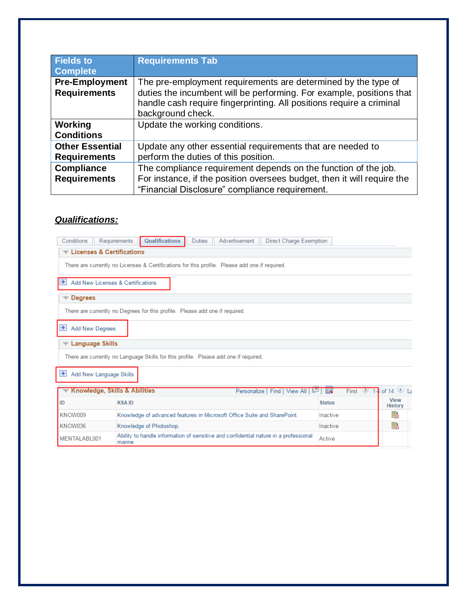| <b>Fields to</b><br><b>Complete</b>           | <b>Requirements Tab</b>                                                                                                                                                                                                            |
|-----------------------------------------------|------------------------------------------------------------------------------------------------------------------------------------------------------------------------------------------------------------------------------------|
| <b>Pre-Employment</b><br><b>Requirements</b>  | The pre-employment requirements are determined by the type of<br>duties the incumbent will be performing. For example, positions that<br>handle cash require fingerprinting. All positions require a criminal<br>background check. |
| Working<br><b>Conditions</b>                  | Update the working conditions.                                                                                                                                                                                                     |
| <b>Other Essential</b><br><b>Requirements</b> | Update any other essential requirements that are needed to<br>perform the duties of this position.                                                                                                                                 |
| <b>Compliance</b><br><b>Requirements</b>      | The compliance requirement depends on the function of the job.<br>For instance, if the position oversees budget, then it will require the<br>"Financial Disclosure" compliance requirement.                                        |

### *Qualifications:*

| Conditions         | Requirements                                                                                   | Qualifications                                                                       | <b>Duties</b> | Advertisement |  | <b>Direct Charge Exemption</b>        |               |                |                               |
|--------------------|------------------------------------------------------------------------------------------------|--------------------------------------------------------------------------------------|---------------|---------------|--|---------------------------------------|---------------|----------------|-------------------------------|
|                    | Licenses & Certifications                                                                      |                                                                                      |               |               |  |                                       |               |                |                               |
|                    | There are currently no Licenses & Certifications for this profile. Please add one if required. |                                                                                      |               |               |  |                                       |               |                |                               |
| $\pm$              | Add New Licenses & Certifications                                                              |                                                                                      |               |               |  |                                       |               |                |                               |
| <b>Degrees</b>     |                                                                                                |                                                                                      |               |               |  |                                       |               |                |                               |
|                    | There are currently no Degrees for this profile. Please add one if required.                   |                                                                                      |               |               |  |                                       |               |                |                               |
| $\left  + \right $ | <b>Add New Degrees</b>                                                                         |                                                                                      |               |               |  |                                       |               |                |                               |
|                    | <b>Language Skills</b>                                                                         |                                                                                      |               |               |  |                                       |               |                |                               |
|                    | There are currently no Language Skills for this profile. Please add one if required.           |                                                                                      |               |               |  |                                       |               |                |                               |
| $\pm$              | Add New Language Skills                                                                        |                                                                                      |               |               |  |                                       |               |                |                               |
|                    | Knowledge, Skills & Abilities                                                                  |                                                                                      |               |               |  | Personalize   Find   View All   المنا |               | First <b>W</b> | $1-5$ of 14 $\bullet$ La      |
| ID                 | <b>KSAID</b>                                                                                   |                                                                                      |               |               |  |                                       | <b>Status</b> |                | <b>View</b><br><b>History</b> |
| KNOW009            |                                                                                                | Knowledge of advanced features in Microsoft Office Suite and SharePoint.             |               |               |  |                                       | Inactive      |                | 點                             |
| KNOW036            |                                                                                                | Knowledge of Photoshop.                                                              |               |               |  |                                       | Inactive      |                | 貼                             |
| MENTALABL001       | manne                                                                                          | Ability to handle information of sensitive and confidential nature in a professional |               |               |  |                                       | Active        |                |                               |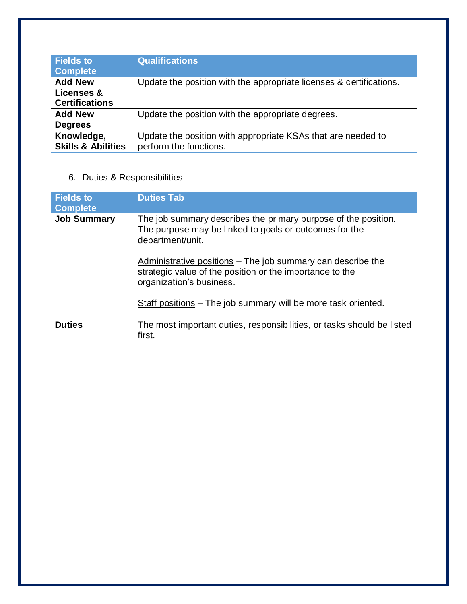| <b>Fields to</b><br><b>Complete</b>                   | <b>Qualifications</b>                                                                  |
|-------------------------------------------------------|----------------------------------------------------------------------------------------|
| <b>Add New</b><br>Licenses &<br><b>Certifications</b> | Update the position with the appropriate licenses & certifications.                    |
| <b>Add New</b><br><b>Degrees</b>                      | Update the position with the appropriate degrees.                                      |
| Knowledge,<br><b>Skills &amp; Abilities</b>           | Update the position with appropriate KSAs that are needed to<br>perform the functions. |

## 6. Duties & Responsibilities

| <b>Fields to</b><br><b>Complete</b> | <b>Duties Tab</b>                                                                                                                                   |
|-------------------------------------|-----------------------------------------------------------------------------------------------------------------------------------------------------|
| <b>Job Summary</b>                  | The job summary describes the primary purpose of the position.<br>The purpose may be linked to goals or outcomes for the<br>department/unit.        |
|                                     | Administrative positions - The job summary can describe the<br>strategic value of the position or the importance to the<br>organization's business. |
|                                     | Staff positions – The job summary will be more task oriented.                                                                                       |
| <b>Duties</b>                       | The most important duties, responsibilities, or tasks should be listed<br>first.                                                                    |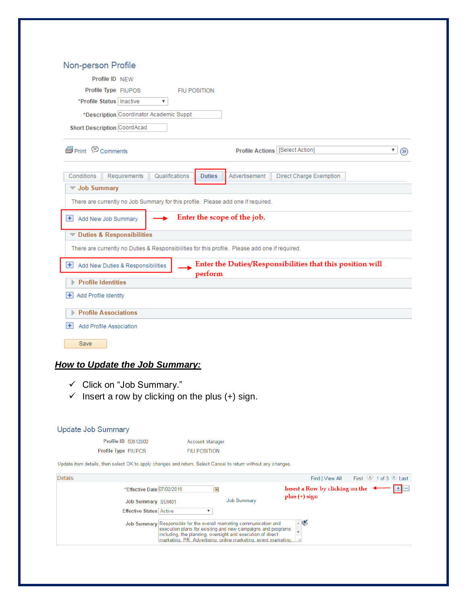| Profile ID NEW                                                                                                                                                                      |                     |                                               |                                        |                                                           |                   |   |
|-------------------------------------------------------------------------------------------------------------------------------------------------------------------------------------|---------------------|-----------------------------------------------|----------------------------------------|-----------------------------------------------------------|-------------------|---|
|                                                                                                                                                                                     |                     |                                               |                                        |                                                           |                   |   |
| Profile Type FIUPOS                                                                                                                                                                 | <b>FIU POSITION</b> |                                               |                                        |                                                           |                   |   |
| *Profile Status   Inactive                                                                                                                                                          | ▼                   |                                               |                                        |                                                           |                   |   |
| *Description Coordinator Academic Suppt                                                                                                                                             |                     |                                               |                                        |                                                           |                   |   |
| <b>Short Description CoordAcad</b>                                                                                                                                                  |                     |                                               |                                        |                                                           |                   |   |
| <b>S</b> Print © Comments                                                                                                                                                           |                     |                                               | <b>Profile Actions [Select Action]</b> |                                                           |                   | ▼ |
| Requirements<br>Conditions                                                                                                                                                          | Qualifications      | <b>Duties</b>                                 | Advertisement                          | Direct Charge Exemption                                   |                   |   |
| <b>V</b> Job Summary                                                                                                                                                                |                     |                                               |                                        |                                                           |                   |   |
| There are currently no Job Summary for this profile. Please add one if required.                                                                                                    |                     |                                               |                                        |                                                           |                   |   |
| $\leftarrow$ Add New Job Summary                                                                                                                                                    |                     |                                               | Enter the scope of the job.            |                                                           |                   |   |
| Duties & Responsibilities                                                                                                                                                           |                     |                                               |                                        |                                                           |                   |   |
| There are currently no Duties & Responsibilities for this profile. Please add one if required.                                                                                      |                     |                                               |                                        |                                                           |                   |   |
| + Add New Duties & Responsibilities                                                                                                                                                 |                     | perform                                       |                                        | Enter the Duties/Responsibilities that this position will |                   |   |
| <b>Profile Identities</b>                                                                                                                                                           |                     |                                               |                                        |                                                           |                   |   |
| + Add Profile Identity                                                                                                                                                              |                     |                                               |                                        |                                                           |                   |   |
|                                                                                                                                                                                     |                     |                                               |                                        |                                                           |                   |   |
| <b>Profile Associations</b>                                                                                                                                                         |                     |                                               |                                        |                                                           |                   |   |
| $+$<br>Add Profile Association                                                                                                                                                      |                     |                                               |                                        |                                                           |                   |   |
| Save                                                                                                                                                                                |                     |                                               |                                        |                                                           |                   |   |
|                                                                                                                                                                                     |                     |                                               |                                        |                                                           |                   |   |
|                                                                                                                                                                                     |                     |                                               |                                        |                                                           |                   |   |
|                                                                                                                                                                                     |                     |                                               |                                        |                                                           |                   |   |
|                                                                                                                                                                                     |                     |                                               |                                        |                                                           |                   |   |
| Click on "Job Summary."<br>$\checkmark$                                                                                                                                             |                     |                                               |                                        |                                                           |                   |   |
| Insert a row by clicking on the plus (+) sign.                                                                                                                                      |                     |                                               |                                        |                                                           |                   |   |
|                                                                                                                                                                                     |                     |                                               |                                        |                                                           |                   |   |
|                                                                                                                                                                                     |                     |                                               |                                        |                                                           |                   |   |
|                                                                                                                                                                                     |                     |                                               |                                        |                                                           |                   |   |
| Profile ID 50812000<br>Profile Type FIUPOS                                                                                                                                          |                     | <b>Account Manager</b><br><b>FIU POSITION</b> |                                        |                                                           |                   |   |
|                                                                                                                                                                                     |                     |                                               |                                        |                                                           |                   |   |
| <b>How to Update the Job Summary:</b><br><b>Update Job Summary</b><br>Update item details, then select OK to apply changes and return. Select Cancel to return without any changes. |                     |                                               |                                        |                                                           |                   |   |
|                                                                                                                                                                                     |                     |                                               |                                        | Find   View All                                           | First 1 of 3 Last |   |
| *Effective Date 07/02/2016                                                                                                                                                          |                     | B1                                            | <b>Job Summary</b>                     | Insert a Row by clicking on the<br>$plus (+) sign$        |                   |   |
| Details<br>Job Summary SUM01<br><b>Effective Status Active</b>                                                                                                                      |                     | ▼                                             |                                        |                                                           |                   |   |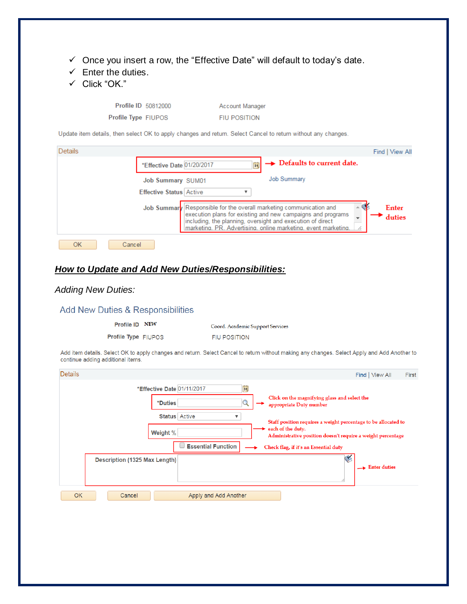- $\checkmark$  Once you insert a row, the "Effective Date" will default to today's date.
- $\checkmark$  Enter the duties.
- Click "OK."

Profile ID 50812000 Profile Type FIUPOS

Account Manager **FIU POSITION** 

Update item details, then select OK to apply changes and return. Select Cancel to return without any changes.

| <b>Details</b> | Find I View All                                                                                                                                                                                                                                                                       |  |
|----------------|---------------------------------------------------------------------------------------------------------------------------------------------------------------------------------------------------------------------------------------------------------------------------------------|--|
|                | $\rightarrow$ Defaults to current date.<br>*Effective Date 01/20/2017<br>BU                                                                                                                                                                                                           |  |
|                | <b>Job Summary</b><br>Job Summary SUM01                                                                                                                                                                                                                                               |  |
|                | <b>Effective Status Active</b>                                                                                                                                                                                                                                                        |  |
|                | Job Summary Responsible for the overall marketing communication and<br>Enter<br>execution plans for existing and new campaigns and programs<br>duties<br>including, the planning, oversight and execution of direct<br>marketing, PR. Advertising, online marketing, event marketing, |  |
| OK<br>Cancel   |                                                                                                                                                                                                                                                                                       |  |

### *How to Update and Add New Duties/Responsibilities:*

#### *Adding New Duties:*

#### Add New Duties & Responsibilities

Profile ID NEW

Coord. Academic Support Services

Profile Type FIUPOS

**FIU POSITION** 

Add item details. Select OK to apply changes and return. Select Cancel to return without making any changes. Select Apply and Add Another to continue adding additional items.

| <b>Details</b>                                                                                                                                                                                                                                                                                                                                                                                                      | Find   View All<br>First           |
|---------------------------------------------------------------------------------------------------------------------------------------------------------------------------------------------------------------------------------------------------------------------------------------------------------------------------------------------------------------------------------------------------------------------|------------------------------------|
| $\overrightarrow{31}$<br>*Effective Date 01/11/2017<br>Click on the magnifying glass and select the<br>*Duties<br>ч<br>appropriate Duty number<br><b>Status</b> Active<br>▼<br>Staff position requires a weight percentage to be allocated to<br>each of the duty.<br>Weight %<br>Administrative position doesn't require a weight percentage<br><b>Essential Function</b><br>Check flag, if it's an Essential duty |                                    |
| Description (1325 Max Length)                                                                                                                                                                                                                                                                                                                                                                                       | $\blacktriangleright$ Enter duties |
| <b>OK</b><br>Cancel<br>Apply and Add Another                                                                                                                                                                                                                                                                                                                                                                        |                                    |
|                                                                                                                                                                                                                                                                                                                                                                                                                     |                                    |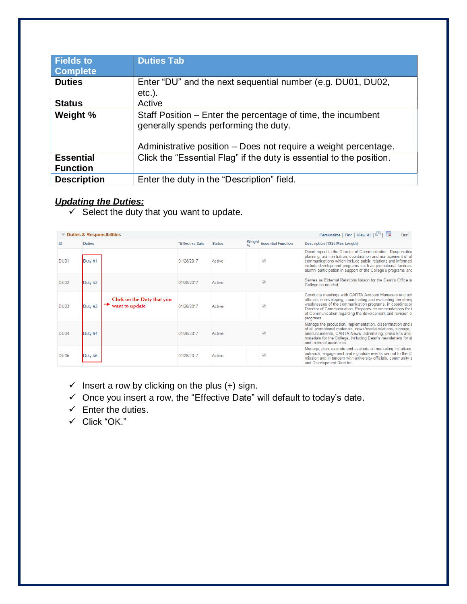| <b>Fields to</b><br><b>Complete</b> | <b>Duties Tab</b>                                                                                                                                                        |
|-------------------------------------|--------------------------------------------------------------------------------------------------------------------------------------------------------------------------|
| <b>Duties</b>                       | Enter "DU" and the next sequential number (e.g. DU01, DU02,<br>$etc.$ ).                                                                                                 |
| <b>Status</b>                       | Active                                                                                                                                                                   |
| Weight %                            | Staff Position – Enter the percentage of time, the incumbent<br>generally spends performing the duty.<br>Administrative position - Does not require a weight percentage. |
| <b>Essential</b><br><b>Function</b> | Click the "Essential Flag" if the duty is essential to the position.                                                                                                     |
| <b>Description</b>                  | Enter the duty in the "Description" field.                                                                                                                               |

#### *Updating the Duties:*

 $\checkmark$  Select the duty that you want to update.

| Personalize   Find   View All   2    <br>$\blacktriangledown$ Duties & Responsibilities<br>First |                                                            |                 |               |  |                           |                                                                                                                                                                                                                                                                                                                               |
|--------------------------------------------------------------------------------------------------|------------------------------------------------------------|-----------------|---------------|--|---------------------------|-------------------------------------------------------------------------------------------------------------------------------------------------------------------------------------------------------------------------------------------------------------------------------------------------------------------------------|
| ID                                                                                               | <b>Duties</b>                                              | *Effective Date | <b>Status</b> |  | Weight Essential Function | Description (1325 Max Length)                                                                                                                                                                                                                                                                                                 |
| <b>DU01</b>                                                                                      | Duty #1                                                    | 01/28/2017      | Active        |  | $\mathcal{Q}$             | Direct report to the Director of Communication; Responsible<br>planning, administration, coordination and management of all<br>communications which include public relations and informati-<br>include development programs such as promotional fundraisi<br>alumni participation in support of the College's programs and    |
| <b>DU02</b>                                                                                      | Duty $#2$                                                  | 01/28/2017      | Active        |  | $\mathcal{Q}$             | Serves as External Relations liaison for the Dean's Office at<br>College as needed.                                                                                                                                                                                                                                           |
| <b>DU03</b>                                                                                      | Click on the Duty that you<br>want to update<br>$D$ utv #3 | 01/28/2017      | Active        |  | $\mathcal{Q}$             | Conducts meetings with CARTA Account Managers and uni<br>officials in developing, coordinating and evaluating the strend<br>weaknesses of the communication programs, in coordination<br>Director of Communication. Prepares recommendations for t<br>of Communication regarding the development and revision of<br>programs. |
| <b>DU04</b>                                                                                      | Duty #4                                                    | 01/28/2017      | Active        |  |                           | Manage the production, implementation, dissemination and $\epsilon$<br>of all promotional materials, news/media relations, signage,<br>announcements, CARTA News, advertising, press kits and<br>materials for the College, including Dean's newsletters for all<br>and external audiences.                                   |
| <b>DU05</b>                                                                                      | Duty #5                                                    | 01/28/2017      | Active        |  |                           | Manage, plan, execute and evaluate all marketing initiatives<br>outreach, engagement and signature events central to the C-<br>mission and in tandem with university officials, community s<br>and Development Director.                                                                                                      |

- $\checkmark$  Insert a row by clicking on the plus (+) sign.
- $\checkmark$  Once you insert a row, the "Effective Date" will default to today's date.
- $\checkmark$  Enter the duties.
- $\checkmark$  Click "OK."